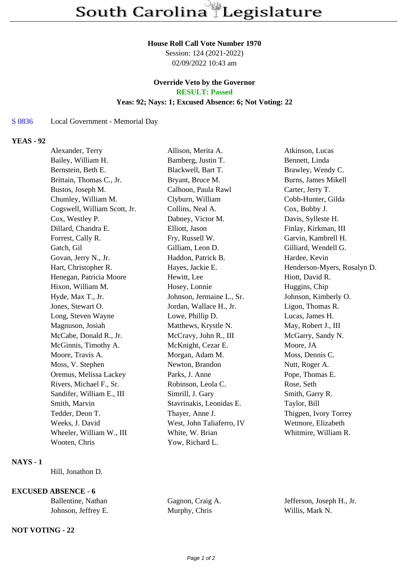#### **House Roll Call Vote Number 1970**

Session: 124 (2021-2022) 02/09/2022 10:43 am

### **Override Veto by the Governor RESULT: Passed**

#### **Yeas: 92; Nays: 1; Excused Absence: 6; Not Voting: 22**

S 0836 Local Government - Memorial Day

## **YEAS - 92**

| Alexander, Terry             | Allison, Merita A.        | Atkinson, Lucas             |
|------------------------------|---------------------------|-----------------------------|
| Bailey, William H.           | Bamberg, Justin T.        | Bennett, Linda              |
| Bernstein, Beth E.           | Blackwell, Bart T.        | Brawley, Wendy C.           |
| Brittain, Thomas C., Jr.     | Bryant, Bruce M.          | Burns, James Mikell         |
| Bustos, Joseph M.            | Calhoon, Paula Rawl       | Carter, Jerry T.            |
| Chumley, William M.          | Clyburn, William          | Cobb-Hunter, Gilda          |
| Cogswell, William Scott, Jr. | Collins, Neal A.          | Cox, Bobby J.               |
| Cox, Westley P.              | Dabney, Victor M.         | Davis, Sylleste H.          |
| Dillard, Chandra E.          | Elliott, Jason            | Finlay, Kirkman, III        |
| Forrest, Cally R.            | Fry, Russell W.           | Garvin, Kambrell H.         |
| Gatch, Gil                   | Gilliam, Leon D.          | Gilliard, Wendell G.        |
| Govan, Jerry N., Jr.         | Haddon, Patrick B.        | Hardee, Kevin               |
| Hart, Christopher R.         | Hayes, Jackie E.          | Henderson-Myers, Rosalyn D. |
| Henegan, Patricia Moore      | Hewitt, Lee               | Hiott, David R.             |
| Hixon, William M.            | Hosey, Lonnie             | Huggins, Chip               |
| Hyde, Max T., Jr.            | Johnson, Jermaine L., Sr. | Johnson, Kimberly O.        |
| Jones, Stewart O.            | Jordan, Wallace H., Jr.   | Ligon, Thomas R.            |
| Long, Steven Wayne           | Lowe, Phillip D.          | Lucas, James H.             |
| Magnuson, Josiah             | Matthews, Krystle N.      | May, Robert J., III         |
| McCabe, Donald R., Jr.       | McCravy, John R., III     | McGarry, Sandy N.           |
| McGinnis, Timothy A.         | McKnight, Cezar E.        | Moore, JA                   |
| Moore, Travis A.             | Morgan, Adam M.           | Moss, Dennis C.             |
| Moss, V. Stephen             | Newton, Brandon           | Nutt, Roger A.              |
| Oremus, Melissa Lackey       | Parks, J. Anne            | Pope, Thomas E.             |
| Rivers, Michael F., Sr.      | Robinson, Leola C.        | Rose, Seth                  |
| Sandifer, William E., III    | Simrill, J. Gary          | Smith, Garry R.             |
| Smith, Marvin                | Stavrinakis, Leonidas E.  | Taylor, Bill                |
| Tedder, Deon T.              | Thayer, Anne J.           | Thigpen, Ivory Torrey       |
| Weeks, J. David              | West, John Taliaferro, IV | Wetmore, Elizabeth          |
| Wheeler, William W., III     | White, W. Brian           | Whitmire, William R.        |
| Wooten, Chris                | Yow, Richard L.           |                             |
|                              |                           |                             |

### **NAYS - 1**

Hill, Jonathon D.

# **EXCUSED ABSENCE - 6**

| Ballentine, Nathan  | Gagnon, Craig A. | Jefferson, Joseph H., Jr. |
|---------------------|------------------|---------------------------|
| Johnson, Jeffrey E. | Murphy, Chris    | Willis, Mark N.           |

### **NOT VOTING - 22**